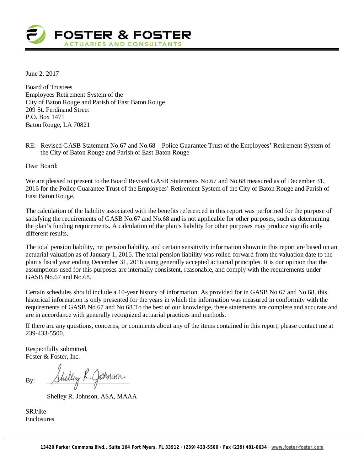

June 2, 2017

Board of Trustees Employees Retirement System of the City of Baton Rouge and Parish of East Baton Rouge 209 St. Ferdinand Street P.O. Box 1471 Baton Rouge, LA 70821

RE: Revised GASB Statement No.67 and No.68 – Police Guarantee Trust of the Employees' Retirement System of the City of Baton Rouge and Parish of East Baton Rouge

Dear Board:

We are pleased to present to the Board Revised GASB Statements No.67 and No.68 measured as of December 31, 2016 for the Police Guarantee Trust of the Employees' Retirement System of the City of Baton Rouge and Parish of East Baton Rouge.

The calculation of the liability associated with the benefits referenced in this report was performed for the purpose of satisfying the requirements of GASB No.67 and No.68 and is not applicable for other purposes, such as determining the plan's funding requirements. A calculation of the plan's liability for other purposes may produce significantly different results.

The total pension liability, net pension liability, and certain sensitivity information shown in this report are based on an actuarial valuation as of January 1, 2016. The total pension liability was rolled-forward from the valuation date to the plan's fiscal year ending December 31, 2016 using generally accepted actuarial principles. It is our opinion that the assumptions used for this purposes are internally consistent, reasonable, and comply with the requirements under GASB No.67 and No.68.

Certain schedules should include a 10-year history of information. As provided for in GASB No.67 and No.68, this historical information is only presented for the years in which the information was measured in conformity with the requirements of GASB No.67 and No.68.To the best of our knowledge, these statements are complete and accurate and are in accordance with generally recognized actuarial practices and methods.

If there are any questions, concerns, or comments about any of the items contained in this report, please contact me at 239-433-5500.

Respectfully submitted, Foster & Foster, Inc.

By: Shelley R. Johnson

Shelley R. Johnson, ASA, MAAA

SRJ/lke Enclosures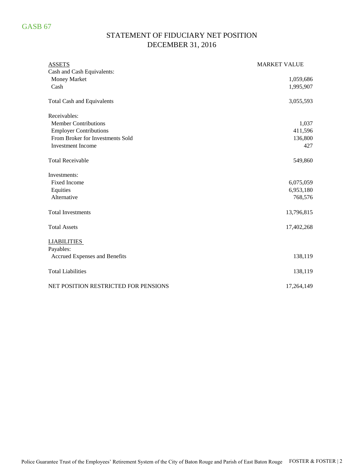# STATEMENT OF FIDUCIARY NET POSITION DECEMBER 31, 2016

| <b>ASSETS</b>                        | <b>MARKET VALUE</b> |
|--------------------------------------|---------------------|
| Cash and Cash Equivalents:           |                     |
| Money Market                         | 1,059,686           |
| Cash                                 | 1,995,907           |
| <b>Total Cash and Equivalents</b>    | 3,055,593           |
| Receivables:                         |                     |
| <b>Member Contributions</b>          | 1,037               |
| <b>Employer Contributions</b>        | 411,596             |
| From Broker for Investments Sold     | 136,800             |
| <b>Investment Income</b>             | 427                 |
| <b>Total Receivable</b>              | 549,860             |
| Investments:                         |                     |
| <b>Fixed Income</b>                  | 6,075,059           |
| Equities                             | 6,953,180           |
| Alternative                          | 768,576             |
| <b>Total Investments</b>             | 13,796,815          |
| <b>Total Assets</b>                  | 17,402,268          |
| <b>LIABILITIES</b>                   |                     |
| Payables:                            |                     |
| Accrued Expenses and Benefits        | 138,119             |
| <b>Total Liabilities</b>             | 138,119             |
| NET POSITION RESTRICTED FOR PENSIONS | 17,264,149          |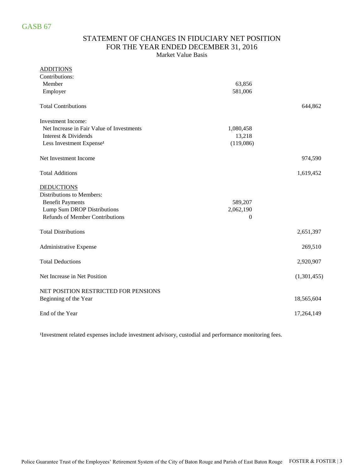### STATEMENT OF CHANGES IN FIDUCIARY NET POSITION FOR THE YEAR ENDED DECEMBER 31, 2016 Market Value Basis

| <b>ADDITIONS</b>                          |                  |             |
|-------------------------------------------|------------------|-------------|
| Contributions:                            |                  |             |
| Member                                    | 63,856           |             |
| Employer                                  | 581,006          |             |
| <b>Total Contributions</b>                |                  | 644,862     |
| Investment Income:                        |                  |             |
| Net Increase in Fair Value of Investments | 1,080,458        |             |
| Interest & Dividends                      | 13,218           |             |
| Less Investment Expense <sup>1</sup>      | (119,086)        |             |
| Net Investment Income                     |                  | 974,590     |
| <b>Total Additions</b>                    |                  | 1,619,452   |
| <b>DEDUCTIONS</b>                         |                  |             |
| Distributions to Members:                 |                  |             |
| <b>Benefit Payments</b>                   | 589,207          |             |
| Lump Sum DROP Distributions               | 2,062,190        |             |
| <b>Refunds of Member Contributions</b>    | $\boldsymbol{0}$ |             |
| <b>Total Distributions</b>                |                  | 2,651,397   |
| Administrative Expense                    |                  | 269,510     |
| <b>Total Deductions</b>                   |                  | 2,920,907   |
| Net Increase in Net Position              |                  | (1,301,455) |
| NET POSITION RESTRICTED FOR PENSIONS      |                  |             |
| Beginning of the Year                     |                  | 18,565,604  |
| End of the Year                           |                  | 17,264,149  |

<sup>1</sup>Investment related expenses include investment advisory, custodial and performance monitoring fees.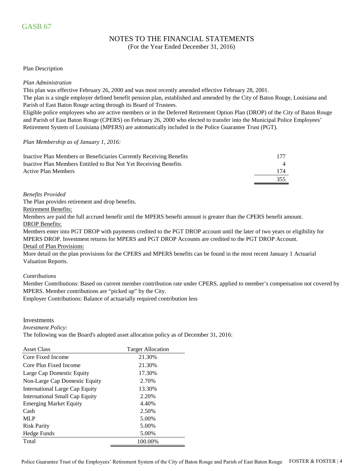# NOTES TO THE FINANCIAL STATEMENTS

(For the Year Ended December 31, 2016)

#### Plan Description

#### *Plan Administration*

This plan was effective February 26, 2000 and was most recently amended effective February 28, 2001.

The plan is a single employer defined benefit pension plan, established and amended by the City of Baton Rouge, Louisiana and Parish of East Baton Rouge acting through its Board of Trustees.

Eligible police employees who are active members or in the Deferred Retirement Option Plan (DROP) of the City of Baton Rouge and Parish of East Baton Rouge (CPERS) on February 26, 2000 who elected to transfer into the Municipal Police Employees' Retirement System of Louisiana (MPERS) are automatically included in the Police Guarantee Trust (PGT).

#### *Plan Membership as of January 1, 2016:*

| Inactive Plan Members or Beneficiaries Currently Receiving Benefits | 177 |
|---------------------------------------------------------------------|-----|
| Inactive Plan Members Entitled to But Not Yet Receiving Benefits    |     |
| Active Plan Members                                                 | 174 |
|                                                                     | 355 |

#### *Benefits Provided*

The Plan provides retirement and drop benefits.

Retirement Benefits:

DROP Benefits: Members are paid the full accrued benefit until the MPERS benefit amount is greater than the CPERS benefit amount.

Members enter into PGT DROP with payments credited to the PGT DROP account until the later of two years or eligibility for MPERS DROP. Investment returns for MPERS and PGT DROP Accounts are credited to the PGT DROP Account. Detail of Plan Provisions:

More detail on the plan provisions for the CPERS and MPERS benefits can be found in the most recent January 1 Actuarial Valuation Reports.

#### *Contributions*

Member Contributions: Based on current member contribution rate under CPERS, applied to member's compensation not covered by MPERS. Member contributions are "picked up" by the City.

Employer Contributions: Balance of actuarially required contribution less

Investments

*Investment Policy:*

The following was the Board's adopted asset allocation policy as of December 31, 2016:

| <b>Asset Class</b>             | <b>Target Allocation</b> |
|--------------------------------|--------------------------|
| Core Fixed Income              | 21.30%                   |
| Core Plus Fixed Income         | 21.30%                   |
| Large Cap Domestic Equity      | 17.30%                   |
| Non-Large Cap Domestic Equity  | 2.70%                    |
| International Large Cap Equity | 13.30%                   |
| International Small Cap Equity | 2.20%                    |
| <b>Emerging Market Equity</b>  | 4.40%                    |
| Cash                           | 2.50%                    |
| <b>MLP</b>                     | 5.00%                    |
| <b>Risk Parity</b>             | 5.00%                    |
| Hedge Funds                    | 5.00%                    |
| Total                          | 100.00%                  |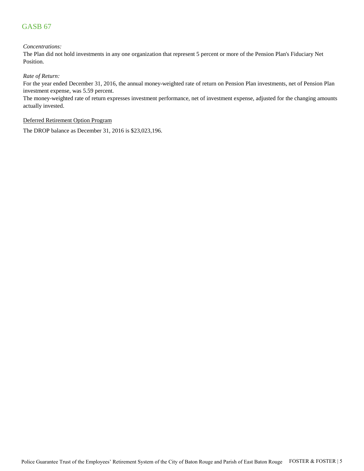#### *Concentrations:*

The Plan did not hold investments in any one organization that represent 5 percent or more of the Pension Plan's Fiduciary Net Position.

#### *Rate of Return:*

For the year ended December 31, 2016, the annual money-weighted rate of return on Pension Plan investments, net of Pension Plan investment expense, was 5.59 percent.

The money-weighted rate of return expresses investment performance, net of investment expense, adjusted for the changing amounts actually invested.

#### Deferred Retirement Option Program

The DROP balance as December 31, 2016 is \$23,023,196.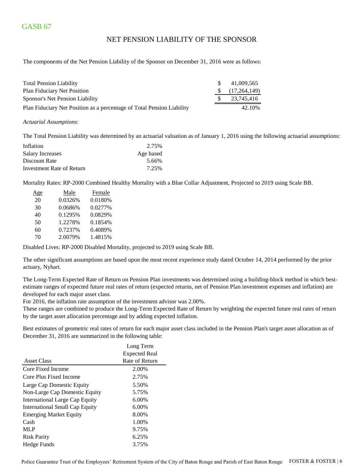### NET PENSION LIABILITY OF THE SPONSOR

The components of the Net Pension Liability of the Sponsor on December 31, 2016 were as follows:

| <b>Total Pension Liability</b>                                         | <sup>S</sup> | 41.009.565   |
|------------------------------------------------------------------------|--------------|--------------|
| <b>Plan Fiduciary Net Position</b>                                     | S.           | (17,264,149) |
| Sponsor's Net Pension Liability                                        |              | 23,745,416   |
| Plan Fiduciary Net Position as a percentage of Total Pension Liability |              | 42.10%       |

#### *Actuarial Assumptions:*

The Total Pension Liability was determined by an actuarial valuation as of January 1, 2016 using the following actuarial assumptions:

| Inflation                 | 2.75%     |
|---------------------------|-----------|
| Salary Increases          | Age based |
| Discount Rate             | 5.66%     |
| Investment Rate of Return | 7.25%     |

Mortality Rates: RP-2000 Combined Healthy Mortality with a Blue Collar Adjustment, Projected to 2019 using Scale BB.

| 20<br>0.0180%<br>0.0326%<br>0.0277%<br>30<br>0.0686%<br>0.0829%<br>0.1295%<br>40<br>0.1854%<br>50<br>1.2278%<br>0.4089%<br>0.7237%<br>60<br>70<br>2.0079%<br>1.4815% | Age | Male | Female |
|----------------------------------------------------------------------------------------------------------------------------------------------------------------------|-----|------|--------|
|                                                                                                                                                                      |     |      |        |
|                                                                                                                                                                      |     |      |        |
|                                                                                                                                                                      |     |      |        |
|                                                                                                                                                                      |     |      |        |
|                                                                                                                                                                      |     |      |        |
|                                                                                                                                                                      |     |      |        |

Disabled Lives: RP-2000 Disabled Mortality, projected to 2019 using Scale BB.

The other significant assumptions are based upon the most recent experience study dated October 14, 2014 performed by the prior actuary, Nyhart.

The Long-Term Expected Rate of Return on Pension Plan investments was determined using a building-block method in which bestestimate ranges of expected future real rates of return (expected returns, net of Pension Plan investment expenses and inflation) are developed for each major asset class.

For 2016, the inflation rate assumption of the investment advisor was 2.00%.

These ranges are combined to produce the Long-Term Expected Rate of Return by weighting the expected future real rates of return by the target asset allocation percentage and by adding expected inflation.

Best estimates of geometric real rates of return for each major asset class included in the Pension Plan's target asset allocation as of December 31, 2016 are summarized in the following table:

|                                | Long Term            |
|--------------------------------|----------------------|
|                                | <b>Expected Real</b> |
| <b>Asset Class</b>             | Rate of Return       |
| Core Fixed Income              | 2.00%                |
| Core Plus Fixed Income         | 2.75%                |
| Large Cap Domestic Equity      | 5.50%                |
| Non-Large Cap Domestic Equity  | 5.75%                |
| International Large Cap Equity | $6.00\%$             |
| International Small Cap Equity | 6.00%                |
| <b>Emerging Market Equity</b>  | 8.00%                |
| Cash                           | 1.00%                |
| <b>MLP</b>                     | 9.75%                |
| <b>Risk Parity</b>             | 6.25%                |
| Hedge Funds                    | 3.75%                |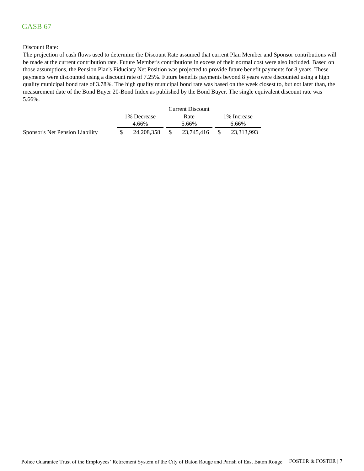#### Discount Rate:

The projection of cash flows used to determine the Discount Rate assumed that current Plan Member and Sponsor contributions will be made at the current contribution rate. Future Member's contributions in excess of their normal cost were also included. Based on those assumptions, the Pension Plan's Fiduciary Net Position was projected to provide future benefit payments for 8 years. These payments were discounted using a discount rate of 7.25%. Future benefits payments beyond 8 years were discounted using a high quality municipal bond rate of 3.78%. The high quality municipal bond rate was based on the week closest to, but not later than, the measurement date of the Bond Buyer 20-Bond Index as published by the Bond Buyer. The single equivalent discount rate was 5.66%.

|                                 |             |     | <b>Current Discount</b> |    |              |
|---------------------------------|-------------|-----|-------------------------|----|--------------|
|                                 | 1% Decrease |     | Rate                    |    | 1\% Increase |
|                                 | $4.66\%$    |     | 5.66%                   |    | 6.66%        |
| Sponsor's Net Pension Liability | 24.208.358  | -SS | 23.745.416              | -S | 23.313.993   |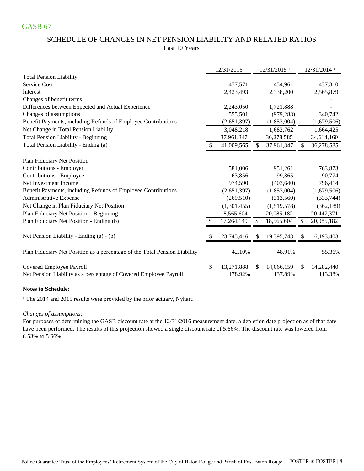## SCHEDULE OF CHANGES IN NET PENSION LIABILITY AND RELATED RATIOS Last 10 Years

|                                                                                               | 12/31/2016                  |     | 12/31/2015 <sup>1</sup> |     | 12/31/2014 1          |
|-----------------------------------------------------------------------------------------------|-----------------------------|-----|-------------------------|-----|-----------------------|
| <b>Total Pension Liability</b>                                                                |                             |     |                         |     |                       |
| Service Cost                                                                                  | 477,571                     |     | 454,961                 |     | 437,310               |
| Interest                                                                                      | 2,423,493                   |     | 2,338,200               |     | 2,565,879             |
| Changes of benefit terms                                                                      |                             |     |                         |     |                       |
| Differences between Expected and Actual Experience                                            | 2,243,050                   |     | 1,721,888               |     |                       |
| Changes of assumptions                                                                        | 555,501                     |     | (979, 283)              |     | 340,742               |
| Benefit Payments, including Refunds of Employee Contributions                                 | (2,651,397)                 |     | (1,853,004)             |     | (1,679,506)           |
| Net Change in Total Pension Liability                                                         | 3,048,218                   |     | 1,682,762               |     | 1,664,425             |
| <b>Total Pension Liability - Beginning</b>                                                    | 37,961,347                  |     | 36,278,585              |     | 34,614,160            |
| Total Pension Liability - Ending (a)                                                          | 41,009,565                  | \$  | 37,961,347              | \$  | 36,278,585            |
| Plan Fiduciary Net Position                                                                   |                             |     |                         |     |                       |
| Contributions - Employer                                                                      | 581,006                     |     | 951,261                 |     | 763,873               |
| Contributions - Employee                                                                      | 63,856                      |     | 99,365                  |     | 90,774                |
| Net Investment Income                                                                         | 974,590                     |     | (403, 640)              |     | 796,414               |
| Benefit Payments, including Refunds of Employee Contributions                                 | (2,651,397)                 |     | (1,853,004)             |     | (1,679,506)           |
| Administrative Expense                                                                        | (269, 510)                  |     | (313,560)               |     | (333, 744)            |
| Net Change in Plan Fiduciary Net Position                                                     | (1,301,455)                 |     | (1,519,578)             |     | (362, 189)            |
| Plan Fiduciary Net Position - Beginning                                                       | 18,565,604                  |     | 20,085,182              |     | 20,447,371            |
| Plan Fiduciary Net Position - Ending (b)                                                      | 17,264,149                  | \$  | 18,565,604              | \$  | 20,085,182            |
| Net Pension Liability - Ending (a) - (b)                                                      | 23,745,416                  | \$  | 19,395,743              | æ.  | 16,193,403            |
|                                                                                               |                             |     |                         |     |                       |
| Plan Fiduciary Net Position as a percentage of the Total Pension Liability                    | 42.10%                      |     | 48.91%                  |     | 55.36%                |
| Covered Employee Payroll<br>Net Pension Liability as a percentage of Covered Employee Payroll | \$<br>13,271,888<br>178.92% | \$. | 14,066,159<br>137.89%   | \$. | 14,282,440<br>113.38% |

#### **Notes to Schedule:**

<sup>1</sup> The 2014 and 2015 results were provided by the prior actuary, Nyhart.

*Changes of assumptions:*

For purposes of determining the GASB discount rate at the 12/31/2016 measurement date, a depletion date projection as of that date have been performed. The results of this projection showed a single discount rate of 5.66%. The discount rate was lowered from 6.53% to 5.66%.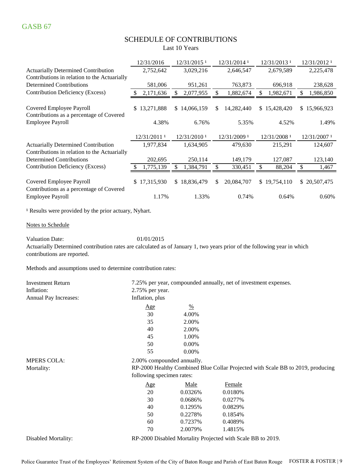# SCHEDULE OF CONTRIBUTIONS

Last 10 Years

|                                                                                                                                                                                   | 12/31/2016       | 12/31/2015 <sup>1</sup> | 12/31/2014 1              | 12/31/2013 1    | 12/31/2012 1              |
|-----------------------------------------------------------------------------------------------------------------------------------------------------------------------------------|------------------|-------------------------|---------------------------|-----------------|---------------------------|
| <b>Actuarially Determined Contribution</b>                                                                                                                                        | 2,752,642        | 3,029,216               | 2,646,547                 | 2,679,589       | 2,225,478                 |
| Contributions in relation to the Actuarially                                                                                                                                      |                  |                         |                           |                 |                           |
| <b>Determined Contributions</b>                                                                                                                                                   | 581,006          | 951,261                 | 763,873                   | 696,918         | 238,628                   |
| <b>Contribution Deficiency (Excess)</b>                                                                                                                                           | 2,171,636        | \$<br>2,077,955         | $\mathbb{S}$<br>1,882,674 | \$<br>1,982,671 | $\mathbb{S}$<br>1,986,850 |
| Covered Employee Payroll<br>Contributions as a percentage of Covered                                                                                                              | 13,271,888<br>S. | \$14,066,159            | 14,282,440<br>\$          | \$15,428,420    | \$15,966,923              |
| <b>Employee Payroll</b>                                                                                                                                                           | 4.38%            | 6.76%                   | 5.35%                     | 4.52%           | 1.49%                     |
|                                                                                                                                                                                   | 12/31/2011 1     | 12/31/2010 <sup>1</sup> | 12/31/2009 1              | 12/31/2008 1    | 12/31/2007 1              |
| <b>Actuarially Determined Contribution</b>                                                                                                                                        | 1,977,834        | 1,634,905               | 479,630                   | 215,291         | 124,607                   |
| Contributions in relation to the Actuarially                                                                                                                                      |                  |                         |                           |                 |                           |
| <b>Determined Contributions</b>                                                                                                                                                   | 202,695          | 250,114                 | 149,179                   | 127,087         | 123,140                   |
| Contribution Deficiency (Excess)                                                                                                                                                  | 1,775,139        | \$<br>1,384,791         | \$<br>330,451             | \$<br>88,204    | \$<br>1,467               |
| Covered Employee Payroll<br>Contributions as a percentage of Covered                                                                                                              | \$17,315,930     | \$18,836,479            | 20,084,707<br>\$          | \$19,754,110    | \$20,507,475              |
| Employee Payroll                                                                                                                                                                  | 1.17%            | 1.33%                   | 0.74%                     | 0.64%           | 0.60%                     |
| <sup>1</sup> Results were provided by the prior actuary, Nyhart.                                                                                                                  |                  |                         |                           |                 |                           |
| Notes to Schedule                                                                                                                                                                 |                  |                         |                           |                 |                           |
| <b>Valuation Date:</b><br>Actuarially Determined contribution rates are calculated as of January 1, two years prior of the following year in which<br>contributions are reported. | 01/01/2015       |                         |                           |                 |                           |
| Methods and assumptions used to determine contribution rates:                                                                                                                     |                  |                         |                           |                 |                           |

| <b>Investment Return</b> |                            | 7.25% per year, compounded annually, net of investment expenses. |                                                             |                                                                                 |  |  |
|--------------------------|----------------------------|------------------------------------------------------------------|-------------------------------------------------------------|---------------------------------------------------------------------------------|--|--|
| Inflation:               | 2.75% per year.            |                                                                  |                                                             |                                                                                 |  |  |
| Annual Pay Increases:    | Inflation, plus            |                                                                  |                                                             |                                                                                 |  |  |
|                          | <u>Age</u>                 | $\frac{0}{0}$                                                    |                                                             |                                                                                 |  |  |
|                          | 30                         | 4.00%                                                            |                                                             |                                                                                 |  |  |
|                          | 35                         | 2.00%                                                            |                                                             |                                                                                 |  |  |
|                          | 40                         | 2.00%                                                            |                                                             |                                                                                 |  |  |
|                          | 45                         | 1.00%                                                            |                                                             |                                                                                 |  |  |
|                          | 50                         | 0.00%                                                            |                                                             |                                                                                 |  |  |
|                          | 55                         | $0.00\%$                                                         |                                                             |                                                                                 |  |  |
| <b>MPERS COLA:</b>       | 2.00% compounded annually. |                                                                  |                                                             |                                                                                 |  |  |
| Mortality:               |                            |                                                                  |                                                             | RP-2000 Healthy Combined Blue Collar Projected with Scale BB to 2019, producing |  |  |
|                          | following specimen rates:  |                                                                  |                                                             |                                                                                 |  |  |
|                          | Age                        | Male                                                             | <b>Female</b>                                               |                                                                                 |  |  |
|                          | 20                         | 0.0326%                                                          | 0.0180%                                                     |                                                                                 |  |  |
|                          | 30                         | 0.0686%                                                          | 0.0277%                                                     |                                                                                 |  |  |
|                          | 40                         | 0.1295%                                                          | 0.0829%                                                     |                                                                                 |  |  |
|                          | 50                         | 0.2278\%                                                         | 0.1854%                                                     |                                                                                 |  |  |
|                          | 60                         | 0.7237%                                                          | 0.4089%                                                     |                                                                                 |  |  |
|                          | 70                         | 2.0079%                                                          | 1.4815%                                                     |                                                                                 |  |  |
| Disabled Mortality:      |                            |                                                                  | RP-2000 Disabled Mortality Projected with Scale BB to 2019. |                                                                                 |  |  |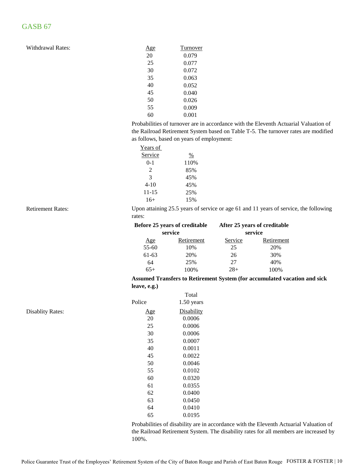| 20<br>25<br>30 | Turnover |
|----------------|----------|
|                | 0.079    |
|                | 0.077    |
|                | 0.072    |
| 35             | 0.063    |
| 40             | 0.052    |
| 45             | 0.040    |
| 50             | 0.026    |
| 55             | 0.009    |
| 60             | 0.001    |

Probabilities of turnover are in accordance with the Eleventh Actuarial Valuation of the Railroad Retirement System based on Table T-5. The turnover rates are modified as follows, based on years of employment:

| Years of                    |      |
|-----------------------------|------|
| Service                     | $\%$ |
| 0-1                         | 110% |
| $\mathcal{D}_{\mathcal{L}}$ | 85%  |
| 3                           | 45%  |
| 4-10                        | 45%  |
| $11 - 15$                   | 25%  |
| $16+$                       | 15%  |
|                             |      |

#### Retirement Rates:

Upon attaining 25.5 years of service or age 61 and 11 years of service, the following rates:

|           | Before 25 years of creditable | After 25 years of creditable |            |  |  |
|-----------|-------------------------------|------------------------------|------------|--|--|
| service   |                               | service                      |            |  |  |
| Age       | Retirement                    | Service                      | Retirement |  |  |
| $55 - 60$ | 10%                           | 25                           | 20%        |  |  |
| 61-63     | 20%                           | 26                           | 30%        |  |  |
| 64        | 25%                           | 27                           | 40%        |  |  |
| $65+$     | 100%                          | $28+$                        | 100%       |  |  |

#### **Assumed Transfers to Retirement System (for accumulated vacation and sick leave, e.g.)**

|                         |        | Total        |
|-------------------------|--------|--------------|
|                         | Police | $1.50$ years |
| <b>Disablity Rates:</b> | Age    | Disability   |
|                         | 20     | 0.0006       |
|                         | 25     | 0.0006       |
|                         | 30     | 0.0006       |
|                         | 35     | 0.0007       |
|                         | 40     | 0.0011       |
|                         | 45     | 0.0022       |
|                         | 50     | 0.0046       |
|                         | 55     | 0.0102       |
|                         | 60     | 0.0320       |
|                         | 61     | 0.0355       |
|                         | 62     | 0.0400       |
|                         | 63     | 0.0450       |
|                         | 64     | 0.0410       |
|                         | 65     | 0.0195       |

Probabilities of disability are in accordance with the Eleventh Actuarial Valuation of the Railroad Retirement System. The disability rates for all members are increased by 100%.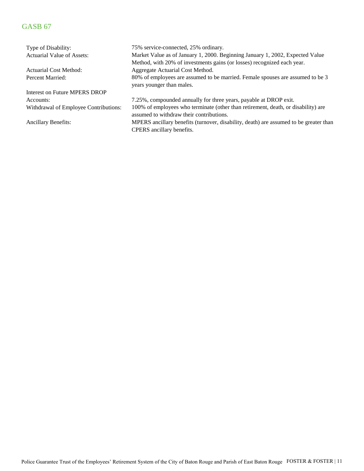Type of Disability: Actuarial Value of Assets: Actuarial Cost Method: Percent Married: Interest on Future MPERS DROP Accounts: Withdrawal of Employee Contributions: Ancillary Benefits: 7.25%, compounded annually for three years, payable at DROP exit. Market Value as of January 1, 2000. Beginning January 1, 2002, Expected Value Method, with 20% of investments gains (or losses) recognized each year. Aggregate Actuarial Cost Method. 75% service-connected, 25% ordinary. 80% of employees are assumed to be married. Female spouses are assumed to be 3 years younger than males. 100% of employees who terminate (other than retirement, death, or disability) are assumed to withdraw their contributions. MPERS ancillary benefits (turnover, disability, death) are assumed to be greater than CPERS ancillary benefits.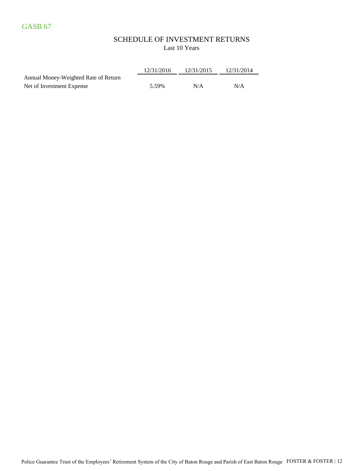### SCHEDULE OF INVESTMENT RETURNS Last 10 Years

|                                      | 12/31/2016 | 12/31/2015 | 12/31/2014 |
|--------------------------------------|------------|------------|------------|
| Annual Money-Weighted Rate of Return |            |            |            |
| Net of Investment Expense            | 5.59%      | N/A        | N/A        |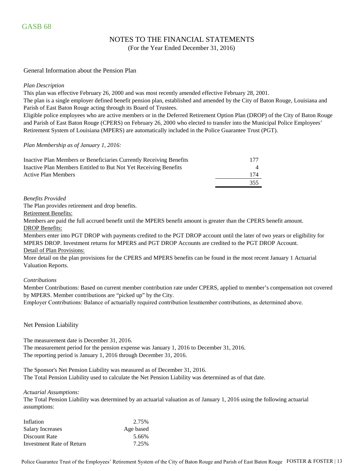### NOTES TO THE FINANCIAL STATEMENTS

(For the Year Ended December 31, 2016)

#### General Information about the Pension Plan

#### *Plan Description*

This plan was effective February 26, 2000 and was most recently amended effective February 28, 2001.

The plan is a single employer defined benefit pension plan, established and amended by the City of Baton Rouge, Louisiana and Parish of East Baton Rouge acting through its Board of Trustees.

Eligible police employees who are active members or in the Deferred Retirement Option Plan (DROP) of the City of Baton Rouge and Parish of East Baton Rouge (CPERS) on February 26, 2000 who elected to transfer into the Municipal Police Employees' Retirement System of Louisiana (MPERS) are automatically included in the Police Guarantee Trust (PGT).

#### *Plan Membership as of January 1, 2016:*

| Inactive Plan Members or Beneficiaries Currently Receiving Benefits | 177 |
|---------------------------------------------------------------------|-----|
| Inactive Plan Members Entitled to But Not Yet Receiving Benefits    |     |
| Active Plan Members                                                 | 174 |
|                                                                     | 355 |

#### *Benefits Provided*

The Plan provides retirement and drop benefits.

Retirement Benefits:

Members are paid the full accrued benefit until the MPERS benefit amount is greater than the CPERS benefit amount. DROP Benefits:

Detail of Plan Provisions: Members enter into PGT DROP with payments credited to the PGT DROP account until the later of two years or eligibility for MPERS DROP. Investment returns for MPERS and PGT DROP Accounts are credited to the PGT DROP Account.

More detail on the plan provisions for the CPERS and MPERS benefits can be found in the most recent January 1 Actuarial Valuation Reports.

#### *Contributions*

Member Contributions: Based on current member contribution rate under CPERS, applied to member's compensation not covered by MPERS. Member contributions are "picked up" by the City.

Employer Contributions: Balance of actuarially required contribution less member contributions, as determined above.

#### Net Pension Liability

The measurement date is December 31, 2016.

The measurement period for the pension expense was January 1, 2016 to December 31, 2016. The reporting period is January 1, 2016 through December 31, 2016.

The Sponsor's Net Pension Liability was measured as of December 31, 2016. The Total Pension Liability used to calculate the Net Pension Liability was determined as of that date.

#### *Actuarial Assumptions:*

The Total Pension Liability was determined by an actuarial valuation as of January 1, 2016 using the following actuarial assumptions:

| Inflation                 | 2.75%     |
|---------------------------|-----------|
| Salary Increases          | Age based |
| Discount Rate             | 5.66%     |
| Investment Rate of Return | 7.25%     |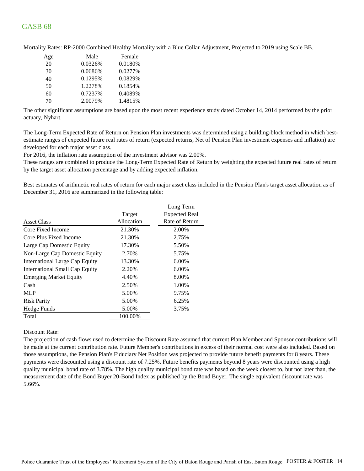| <u>Age</u> | Male    | Female  |
|------------|---------|---------|
| 20         | 0.0326% | 0.0180% |
| 30         | 0.0686% | 0.0277% |
| 40         | 0.1295% | 0.0829% |
| 50         | 1.2278% | 0.1854% |
| 60         | 0.7237% | 0.4089% |
| 70         | 2.0079% | 1.4815% |

Mortality Rates: RP-2000 Combined Healthy Mortality with a Blue Collar Adjustment, Projected to 2019 using Scale BB.

The other significant assumptions are based upon the most recent experience study dated October 14, 2014 performed by the prior actuary, Nyhart.

The Long-Term Expected Rate of Return on Pension Plan investments was determined using a building-block method in which bestestimate ranges of expected future real rates of return (expected returns, Net of Pension Plan investment expenses and inflation) are developed for each major asset class.

For 2016, the inflation rate assumption of the investment advisor was 2.00%.

These ranges are combined to produce the Long-Term Expected Rate of Return by weighting the expected future real rates of return by the target asset allocation percentage and by adding expected inflation.

Best estimates of arithmetic real rates of return for each major asset class included in the Pension Plan's target asset allocation as of December 31, 2016 are summarized in the following table:

| <b>Expected Real</b><br>Target<br>Allocation<br>Core Fixed Income<br>21.30%<br>2.00%<br>21.30%<br>2.75%<br>Core Plus Fixed Income<br>17.30%<br>5.50%<br>2.70%<br>5.75%<br>6.00%<br>13.30%<br>International Large Cap Equity<br>International Small Cap Equity<br>2.20%<br>6.00%<br><b>Emerging Market Equity</b><br>4.40%<br>8.00%<br>2.50%<br>1.00%<br>Cash<br><b>MLP</b><br>5.00%<br>9.75%<br>5.00%<br><b>Risk Parity</b><br>6.25%<br>5.00%<br>3.75%<br>Total<br>100.00% |                               | Long Term      |
|----------------------------------------------------------------------------------------------------------------------------------------------------------------------------------------------------------------------------------------------------------------------------------------------------------------------------------------------------------------------------------------------------------------------------------------------------------------------------|-------------------------------|----------------|
|                                                                                                                                                                                                                                                                                                                                                                                                                                                                            |                               |                |
|                                                                                                                                                                                                                                                                                                                                                                                                                                                                            | <b>Asset Class</b>            | Rate of Return |
|                                                                                                                                                                                                                                                                                                                                                                                                                                                                            |                               |                |
|                                                                                                                                                                                                                                                                                                                                                                                                                                                                            |                               |                |
|                                                                                                                                                                                                                                                                                                                                                                                                                                                                            | Large Cap Domestic Equity     |                |
|                                                                                                                                                                                                                                                                                                                                                                                                                                                                            | Non-Large Cap Domestic Equity |                |
|                                                                                                                                                                                                                                                                                                                                                                                                                                                                            |                               |                |
|                                                                                                                                                                                                                                                                                                                                                                                                                                                                            |                               |                |
|                                                                                                                                                                                                                                                                                                                                                                                                                                                                            |                               |                |
|                                                                                                                                                                                                                                                                                                                                                                                                                                                                            |                               |                |
|                                                                                                                                                                                                                                                                                                                                                                                                                                                                            |                               |                |
|                                                                                                                                                                                                                                                                                                                                                                                                                                                                            |                               |                |
|                                                                                                                                                                                                                                                                                                                                                                                                                                                                            | Hedge Funds                   |                |
|                                                                                                                                                                                                                                                                                                                                                                                                                                                                            |                               |                |

Discount Rate:

The projection of cash flows used to determine the Discount Rate assumed that current Plan Member and Sponsor contributions will be made at the current contribution rate. Future Member's contributions in excess of their normal cost were also included. Based on those assumptions, the Pension Plan's Fiduciary Net Position was projected to provide future benefit payments for 8 years. These payments were discounted using a discount rate of 7.25%. Future benefits payments beyond 8 years were discounted using a high quality municipal bond rate of 3.78%. The high quality municipal bond rate was based on the week closest to, but not later than, the measurement date of the Bond Buyer 20-Bond Index as published by the Bond Buyer. The single equivalent discount rate was 5.66%.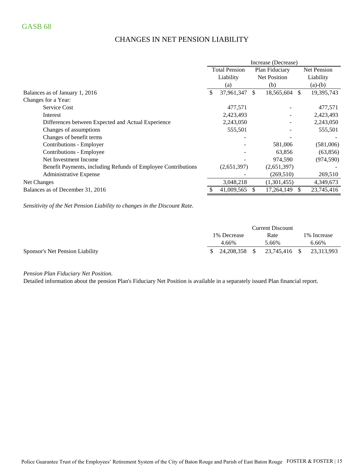# CHANGES IN NET PENSION LIABILITY

|                                                               | Increase (Decrease)                    |             |                     |                    |               |            |
|---------------------------------------------------------------|----------------------------------------|-------------|---------------------|--------------------|---------------|------------|
|                                                               | <b>Total Pension</b><br>Plan Fiduciary |             |                     | <b>Net Pension</b> |               |            |
|                                                               |                                        | Liability   | <b>Net Position</b> |                    |               | Liability  |
|                                                               |                                        | (a)         |                     | (b)                |               | $(a)-(b)$  |
| Balances as of January 1, 2016                                | \$                                     | 37,961,347  | <sup>\$</sup>       | 18,565,604         | <sup>\$</sup> | 19,395,743 |
| Changes for a Year:                                           |                                        |             |                     |                    |               |            |
| <b>Service Cost</b>                                           |                                        | 477,571     |                     |                    |               | 477,571    |
| Interest                                                      |                                        | 2,423,493   |                     |                    |               | 2,423,493  |
| Differences between Expected and Actual Experience            |                                        | 2,243,050   |                     |                    |               | 2,243,050  |
| Changes of assumptions                                        |                                        | 555,501     |                     |                    |               | 555,501    |
| Changes of benefit terms                                      |                                        |             |                     |                    |               |            |
| Contributions - Employer                                      |                                        |             |                     | 581,006            |               | (581,006)  |
| Contributions - Employee                                      |                                        |             |                     | 63,856             |               | (63, 856)  |
| Net Investment Income                                         |                                        |             |                     | 974,590            |               | (974, 590) |
| Benefit Payments, including Refunds of Employee Contributions |                                        | (2,651,397) |                     | (2,651,397)        |               |            |
| Administrative Expense                                        |                                        |             |                     | (269, 510)         |               | 269,510    |
| Net Changes                                                   |                                        | 3,048,218   |                     | (1,301,455)        |               | 4,349,673  |
| Balances as of December 31, 2016                              |                                        | 41,009,565  |                     | 17,264,149         |               | 23,745,416 |

*Sensitivity of the Net Pension Liability to changes in the Discount Rate.*

|                                 | <b>Current Discount</b> |             |  |       |  |                          |
|---------------------------------|-------------------------|-------------|--|-------|--|--------------------------|
|                                 |                         | 1% Decrease |  | Rate  |  | 1\% Increase             |
|                                 |                         | 4.66%       |  | 5.66% |  | 6.66%                    |
| Sponsor's Net Pension Liability |                         |             |  |       |  | 23,745,416 \$ 23,313,993 |

*Pension Plan Fiduciary Net Position.* 

Detailed information about the pension Plan's Fiduciary Net Position is available in a separately issued Plan financial report.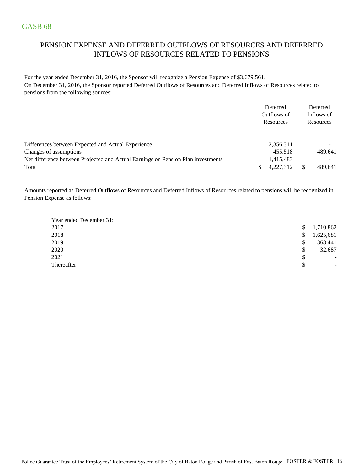# PENSION EXPENSE AND DEFERRED OUTFLOWS OF RESOURCES AND DEFERRED INFLOWS OF RESOURCES RELATED TO PENSIONS

For the year ended December 31, 2016, the Sponsor will recognize a Pension Expense of \$3,679,561. On December 31, 2016, the Sponsor reported Deferred Outflows of Resources and Deferred Inflows of Resources related to pensions from the following sources:

|                                                                                                            | Deferred<br>Outflows of<br>Resources | Deferred<br>Inflows of<br>Resources |
|------------------------------------------------------------------------------------------------------------|--------------------------------------|-------------------------------------|
| Differences between Expected and Actual Experience                                                         | 2,356,311                            | $\overline{\phantom{a}}$            |
| Changes of assumptions<br>Net difference between Projected and Actual Earnings on Pension Plan investments | 455,518<br>1,415,483                 | 489,641<br>$\overline{\phantom{a}}$ |
| Total                                                                                                      | 4,227,312                            | 489,641                             |

Amounts reported as Deferred Outflows of Resources and Deferred Inflows of Resources related to pensions will be recognized in Pension Expense as follows:

| Year ended December 31: |                                |
|-------------------------|--------------------------------|
| 2017                    | \$<br>1,710,862                |
| 2018                    | \$<br>1,625,681                |
| 2019                    | \$<br>368,441                  |
| 2020                    | \$<br>32,687                   |
| 2021                    | \$<br>$\overline{\phantom{a}}$ |
| Thereafter              | \$<br>-                        |
|                         |                                |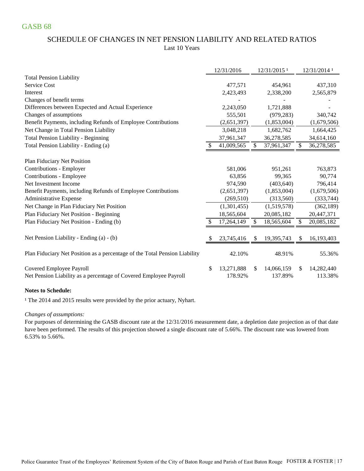### SCHEDULE OF CHANGES IN NET PENSION LIABILITY AND RELATED RATIOS Last 10 Years

|                                                                            | 12/31/2016       |              | 12/31/2015 <sup>1</sup> |     | 12/31/2014 1 |
|----------------------------------------------------------------------------|------------------|--------------|-------------------------|-----|--------------|
| <b>Total Pension Liability</b>                                             |                  |              |                         |     |              |
| Service Cost                                                               | 477,571          |              | 454,961                 |     | 437,310      |
| Interest                                                                   | 2,423,493        |              | 2,338,200               |     | 2,565,879    |
| Changes of benefit terms                                                   |                  |              |                         |     |              |
| Differences between Expected and Actual Experience                         | 2,243,050        |              | 1,721,888               |     |              |
| Changes of assumptions                                                     | 555,501          |              | (979, 283)              |     | 340,742      |
| Benefit Payments, including Refunds of Employee Contributions              | (2,651,397)      |              | (1,853,004)             |     | (1,679,506)  |
| Net Change in Total Pension Liability                                      | 3,048,218        |              | 1,682,762               |     | 1,664,425    |
| <b>Total Pension Liability - Beginning</b>                                 | 37,961,347       |              | 36,278,585              |     | 34,614,160   |
| Total Pension Liability - Ending (a)                                       | 41,009,565       | \$           | 37,961,347              | S   | 36,278,585   |
| Plan Fiduciary Net Position                                                |                  |              |                         |     |              |
| Contributions - Employer                                                   | 581,006          |              | 951,261                 |     | 763,873      |
| Contributions - Employee                                                   | 63,856           |              | 99,365                  |     | 90,774       |
| Net Investment Income                                                      | 974,590          |              | (403, 640)              |     | 796,414      |
| Benefit Payments, including Refunds of Employee Contributions              | (2,651,397)      |              | (1,853,004)             |     | (1,679,506)  |
| Administrative Expense                                                     | (269, 510)       |              | (313,560)               |     | (333, 744)   |
| Net Change in Plan Fiduciary Net Position                                  | (1,301,455)      |              | (1,519,578)             |     | (362, 189)   |
| Plan Fiduciary Net Position - Beginning                                    | 18,565,604       |              | 20,085,182              |     | 20,447,371   |
| Plan Fiduciary Net Position - Ending (b)                                   | 17,264,149       | $\mathbb{S}$ | 18,565,604              | \$  | 20,085,182   |
|                                                                            |                  |              |                         |     |              |
| Net Pension Liability - Ending (a) - (b)                                   | 23,745,416       | S.           | 19,395,743              | \$. | 16,193,403   |
| Plan Fiduciary Net Position as a percentage of the Total Pension Liability | 42.10%           |              | 48.91%                  |     | 55.36%       |
| Covered Employee Payroll                                                   | \$<br>13,271,888 | S.           | 14,066,159              | \$. | 14,282,440   |
| Net Pension Liability as a percentage of Covered Employee Payroll          | 178.92%          |              | 137.89%                 |     | 113.38%      |

#### **Notes to Schedule:**

<sup>1</sup> The 2014 and 2015 results were provided by the prior actuary, Nyhart.

#### *Changes of assumptions:*

For purposes of determining the GASB discount rate at the 12/31/2016 measurement date, a depletion date projection as of that date have been performed. The results of this projection showed a single discount rate of 5.66%. The discount rate was lowered from 6.53% to 5.66%.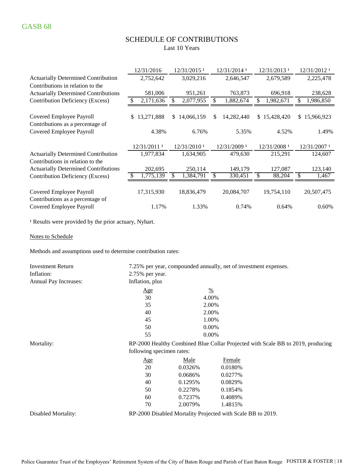### SCHEDULE OF CONTRIBUTIONS Last 10 Years

|                                                              | 12/31/2016       |       | 12/31/2015 <sup>1</sup>   |    | 12/31/2014 1 |    | $12/31/2013$ <sup>1</sup> |    | 12/31/2012 1 |
|--------------------------------------------------------------|------------------|-------|---------------------------|----|--------------|----|---------------------------|----|--------------|
| <b>Actuarially Determined Contribution</b>                   | 2,752,642        |       | 3,029,216                 |    | 2,646,547    |    | 2,679,589                 |    | 2,225,478    |
| Contributions in relation to the                             |                  |       |                           |    |              |    |                           |    |              |
| <b>Actuarially Determined Contributions</b>                  | 581,006          |       | 951,261                   |    | 763,873      |    | 696,918                   |    | 238,628      |
| Contribution Deficiency (Excess)                             | 2,171,636<br>\$. |       | 2,077,955<br>S            | \$ | 1,882,674    | \$ | 1,982,671                 | \$ | 1,986,850    |
| Covered Employee Payroll<br>Contributions as a percentage of | 13,271,888<br>S. |       | 14,066,159<br>S.          | \$ | 14,282,440   | S. | 15,428,420                | S. | 15,966,923   |
| Covered Employee Payroll                                     |                  | 4.38% | 6.76%                     |    | 5.35%        |    | 4.52%                     |    | 1.49%        |
|                                                              | 12/31/2011 1     |       | $12/31/2010$ <sup>1</sup> |    | 12/31/2009 1 |    | 12/31/2008 1              |    | 12/31/2007 1 |
| <b>Actuarially Determined Contribution</b>                   | 1,977,834        |       | 1,634,905                 |    | 479,630      |    | 215,291                   |    | 124,607      |
| Contributions in relation to the                             |                  |       |                           |    |              |    |                           |    |              |
| <b>Actuarially Determined Contributions</b>                  | 202,695          |       | 250,114                   |    | 149,179      |    | 127,087                   |    | 123,140      |
| Contribution Deficiency (Excess)                             | 1,775,139<br>\$  |       | 1,384,791                 | \$ | 330,451      | \$ | 88,204                    | \$ | 1,467        |
| Covered Employee Payroll<br>Contributions as a percentage of | 17,315,930       |       | 18,836,479                |    | 20,084,707   |    | 19,754,110                |    | 20,507,475   |
| Covered Employee Payroll                                     |                  | 1.17% | 1.33%                     |    | 0.74%        |    | 0.64%                     |    | 0.60%        |

<sup>1</sup> Results were provided by the prior actuary, Nyhart.

Notes to Schedule

Methods and assumptions used to determine contribution rates:

| <b>Investment Return</b> |                           |          | 7.25% per year, compounded annually, net of investment expenses. |                                                                                 |
|--------------------------|---------------------------|----------|------------------------------------------------------------------|---------------------------------------------------------------------------------|
| Inflation:               | 2.75% per year.           |          |                                                                  |                                                                                 |
| Annual Pay Increases:    | Inflation, plus           |          |                                                                  |                                                                                 |
|                          | Age                       |          | $\frac{0}{0}$                                                    |                                                                                 |
|                          | 30                        |          | 4.00%                                                            |                                                                                 |
|                          | 35                        |          | 2.00%                                                            |                                                                                 |
|                          | 40                        |          | 2.00%                                                            |                                                                                 |
|                          | 45                        |          | 1.00%                                                            |                                                                                 |
|                          | 50                        |          | $0.00\%$                                                         |                                                                                 |
|                          | 55                        |          | 0.00%                                                            |                                                                                 |
| Mortality:               |                           |          |                                                                  | RP-2000 Healthy Combined Blue Collar Projected with Scale BB to 2019, producing |
|                          | following specimen rates: |          |                                                                  |                                                                                 |
|                          | <u>Age</u>                | Male     | Female                                                           |                                                                                 |
|                          | 20                        | 0.0326%  | 0.0180%                                                          |                                                                                 |
|                          | 30                        | 0.0686%  | 0.0277%                                                          |                                                                                 |
|                          | 40                        | 0.1295\% | 0.0829%                                                          |                                                                                 |
|                          | 50                        | 0.2278%  | 0.1854%                                                          |                                                                                 |
|                          | 60                        | 0.7237%  | 0.4089%                                                          |                                                                                 |
|                          | 70                        | 2.0079%  | 1.4815%                                                          |                                                                                 |
| Disabled Mortality:      |                           |          | RP-2000 Disabled Mortality Projected with Scale BB to 2019.      |                                                                                 |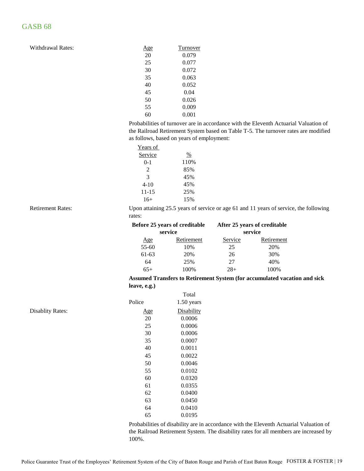| <u>Age</u> | Turnover |
|------------|----------|
| 20         | 0.079    |
| 25         | 0.077    |
| 30         | 0.072    |
| 35         | 0.063    |
| 40         | 0.052    |
| 45         | 0.04     |
| 50         | 0.026    |
| 55         | 0.009    |
| 60         | 0.001    |
|            |          |

Probabilities of turnover are in accordance with the Eleventh Actuarial Valuation of the Railroad Retirement System based on Table T-5. The turnover rates are modified as follows, based on years of employment:

| Years of  |      |
|-----------|------|
| Service   | %    |
| $0-1$     | 110% |
| 2         | 85%  |
| 3         | 45%  |
| 4-10      | 45%  |
| $11 - 15$ | 25%  |
| $16+$     | 15%  |
|           |      |

Retirement Rates:

Upon attaining 25.5 years of service or age 61 and 11 years of service, the following rates:

|           | Before 25 years of creditable |         | After 25 years of creditable |
|-----------|-------------------------------|---------|------------------------------|
|           | service                       |         | service                      |
| Age       | Retirement                    | Service | Retirement                   |
| $55 - 60$ | 10%                           | 25      | 20%                          |
| 61-63     | 20%                           | 26      | 30%                          |
| 64        | 25%                           | 27      | 40%                          |
| $65+$     | 100%                          | $28+$   | 100%                         |

#### **Assumed Transfers to Retirement System (for accumulated vacation and sick leave, e.g.)**

|            | Total      |
|------------|------------|
| Police     | 1.50 years |
| <u>Age</u> | Disability |
| 20         | 0.0006     |
| 25         | 0.0006     |
| 30         | 0.0006     |
| 35         | 0.0007     |
| 40         | 0.0011     |
| 45         | 0.0022     |
| 50         | 0.0046     |
| 55         | 0.0102     |
| 60         | 0.0320     |
| 61         | 0.0355     |
| 62         | 0.0400     |
| 63         | 0.0450     |
| 64         | 0.0410     |
| 65         | 0.0195     |
|            |            |

Probabilities of disability are in accordance with the Eleventh Actuarial Valuation of the Railroad Retirement System. The disability rates for all members are increased by 100%.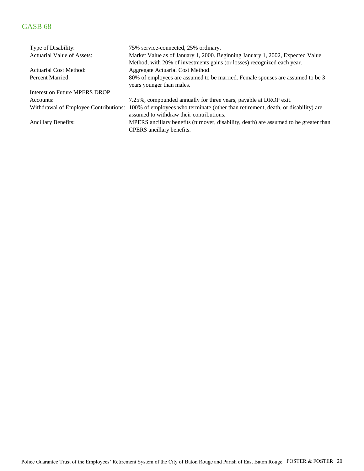| Type of Disability:                   | 75% service-connected, 25% ordinary.                                                  |
|---------------------------------------|---------------------------------------------------------------------------------------|
| Actuarial Value of Assets:            | Market Value as of January 1, 2000. Beginning January 1, 2002, Expected Value         |
|                                       | Method, with 20% of investments gains (or losses) recognized each year.               |
| Actuarial Cost Method:                | Aggregate Actuarial Cost Method.                                                      |
| Percent Married:                      | 80% of employees are assumed to be married. Female spouses are assumed to be 3        |
|                                       | years younger than males.                                                             |
| Interest on Future MPERS DROP         |                                                                                       |
| Accounts:                             | 7.25%, compounded annually for three years, payable at DROP exit.                     |
| Withdrawal of Employee Contributions: | 100% of employees who terminate (other than retirement, death, or disability) are     |
|                                       | assumed to withdraw their contributions.                                              |
| <b>Ancillary Benefits:</b>            | MPERS ancillary benefits (turnover, disability, death) are assumed to be greater than |
|                                       | CPERS ancillary benefits.                                                             |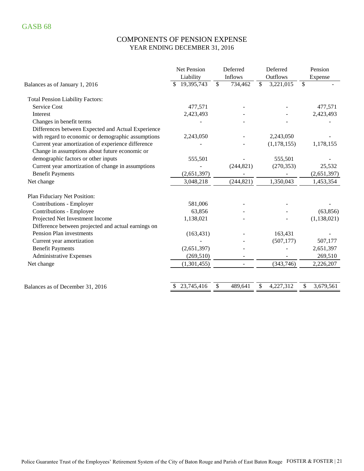### COMPONENTS OF PENSION EXPENSE YEAR ENDING DECEMBER 31, 2016

|                                                     | Net Pension | Deferred                            | Deferred        | Pension         |
|-----------------------------------------------------|-------------|-------------------------------------|-----------------|-----------------|
|                                                     | Liability   | Inflows                             | Outflows        | Expense         |
| Balances as of January 1, 2016                      | 19,395,743  | $\overline{\mathcal{S}}$<br>734,462 | \$<br>3,221,015 | \$              |
| <b>Total Pension Liability Factors:</b>             |             |                                     |                 |                 |
| <b>Service Cost</b>                                 | 477,571     |                                     |                 | 477,571         |
| Interest                                            | 2,423,493   |                                     |                 | 2,423,493       |
| Changes in benefit terms                            |             |                                     |                 |                 |
| Differences between Expected and Actual Experience  |             |                                     |                 |                 |
| with regard to economic or demographic assumptions  | 2,243,050   |                                     | 2,243,050       |                 |
| Current year amortization of experience difference  |             |                                     | (1, 178, 155)   | 1,178,155       |
| Change in assumptions about future economic or      |             |                                     |                 |                 |
| demographic factors or other inputs                 | 555,501     |                                     | 555,501         |                 |
| Current year amortization of change in assumptions  |             | (244, 821)                          | (270, 353)      | 25,532          |
| <b>Benefit Payments</b>                             | (2,651,397) |                                     |                 | (2,651,397)     |
| Net change                                          | 3,048,218   | (244, 821)                          | 1,350,043       | 1,453,354       |
| Plan Fiduciary Net Position:                        |             |                                     |                 |                 |
| Contributions - Employer                            | 581,006     |                                     |                 |                 |
| Contributions - Employee                            | 63,856      |                                     |                 | (63, 856)       |
| Projected Net Investment Income                     | 1,138,021   |                                     |                 | (1, 138, 021)   |
| Difference between projected and actual earnings on |             |                                     |                 |                 |
| Pension Plan investments                            | (163, 431)  |                                     | 163,431         |                 |
| Current year amortization                           |             |                                     | (507, 177)      | 507,177         |
| <b>Benefit Payments</b>                             | (2,651,397) |                                     |                 | 2,651,397       |
| <b>Administrative Expenses</b>                      | (269, 510)  |                                     |                 | 269,510         |
| Net change                                          | (1,301,455) | $\overline{\phantom{0}}$            | (343,746)       | 2,226,207       |
|                                                     | 23,745,416  | \$<br>489,641                       | \$<br>4,227,312 | \$<br>3,679,561 |
| Balances as of December 31, 2016                    |             |                                     |                 |                 |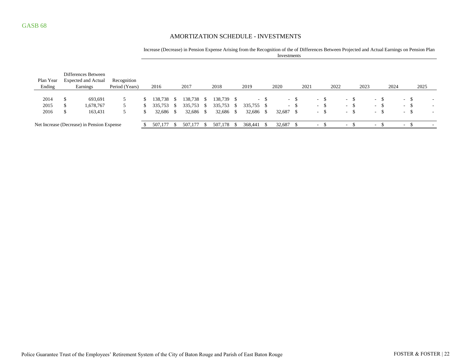#### AMORTIZATION SCHEDULE - INVESTMENTS

Increase (Decrease) in Pension Expense Arising from the Recognition of the of Differences Between Projected and Actual Earnings on Pension Plan Investments

|           |    | Differences Between                        |                |    |           |      |            |            |      |            |      |           |        |      |                 |      |   |        |      |                          |      |                          |        |
|-----------|----|--------------------------------------------|----------------|----|-----------|------|------------|------------|------|------------|------|-----------|--------|------|-----------------|------|---|--------|------|--------------------------|------|--------------------------|--------|
| Plan Year |    | <b>Expected and Actual</b>                 | Recognition    |    |           |      |            |            |      |            |      |           |        |      |                 |      |   |        |      |                          |      |                          |        |
| Ending    |    | Earnings                                   | Period (Years) |    | 2016      |      | 2017       | 2018       |      | 2019       |      | 2020      |        | 2021 |                 | 2022 |   |        | 2023 |                          | 2024 |                          | 2025   |
|           |    |                                            |                |    |           |      |            |            |      |            |      |           |        |      |                 |      |   |        |      |                          |      |                          |        |
| 2014      | S  | 693,691                                    | 5              | S. | 138.738   | - 5  | 138,738 \$ | 138,739 \$ |      |            | $-S$ |           | $-$ \$ |      | $-S$            |      |   | $-$ \$ |      | - \$                     |      | $-$ \$                   |        |
| 2015      | \$ | 1,678,767                                  | 5              | S. | 335,753   | - 56 | 335,753 \$ | 335,753    | - \$ | 335,755 \$ |      |           | $-$ \$ |      | $\sim$ 10 $\pm$ | - \$ |   | $-$ \$ |      | - 75<br>$ -$             |      | $-$ \$                   | ۰      |
| 2016      | \$ | 163,431                                    | 5              | S. | 32,686 \$ |      | 32,686 \$  | 32,686 \$  |      | 32,686 \$  |      | 32,687 \$ |        |      | $-$ \$          |      |   | $-$ \$ |      | - 75<br>$\sim$           |      | $-$ \$                   |        |
|           |    |                                            |                |    |           |      |            |            |      |            |      |           |        |      |                 |      |   |        |      |                          |      |                          |        |
|           |    | Net Increase (Decrease) in Pension Expense |                |    | 507,177   | -85  | 507.177    | 507,178    | -8   | 368,441    |      | 32,687    |        |      | $\sim$          |      | ۰ |        |      | $\overline{\phantom{a}}$ |      | $\overline{\phantom{a}}$ | $\sim$ |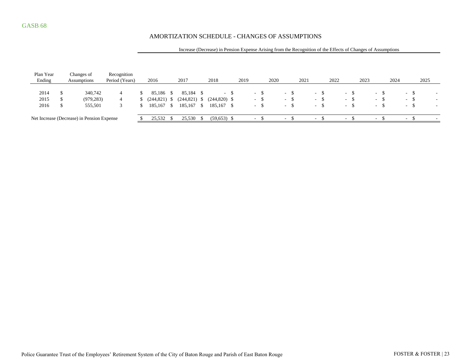#### AMORTIZATION SCHEDULE - CHANGES OF ASSUMPTIONS

#### Increase (Decrease) in Pension Expense Arising from the Recognition of the Effects of Changes of Assumptions

| Plan Year | Changes of                                 | Recognition    |            |      |                 |      |                          |      |                          |      |      |        |      |                          |      |        |        |       |      |                          |       |      |                          |
|-----------|--------------------------------------------|----------------|------------|------|-----------------|------|--------------------------|------|--------------------------|------|------|--------|------|--------------------------|------|--------|--------|-------|------|--------------------------|-------|------|--------------------------|
| Ending    | Assumptions                                | Period (Years) | 2016       |      | 2017            |      | 2018                     | 2019 |                          |      | 2020 |        | 2021 |                          | 2022 |        | 2023   |       | 2024 |                          |       | 2025 |                          |
|           |                                            |                |            |      |                 |      |                          |      |                          |      |      |        |      |                          |      |        |        |       |      |                          |       |      |                          |
| 2014      | 340,742                                    | 4              | 85.186 \$  |      | 85.184 \$       |      | $\overline{\phantom{a}}$ |      | - 8                      |      |      | $-8$   |      | $\sim$                   |      | $\sim$ |        | - ക   |      | $\sim$                   | - 35  |      | $\overline{\phantom{a}}$ |
| 2015      | (979, 283)                                 | 4              | (244, 821) | - 56 | $(244, 821)$ \$ |      | $(244,820)$ \$           |      | $- S$                    |      |      | $-$ S  |      | $- S$                    |      | $\sim$ |        | $- S$ |      |                          | $- S$ |      | $\overline{\phantom{a}}$ |
| 2016      | 555,501                                    |                | 185,167 \$ |      | 185,167 \$      |      | 185,167 \$               |      | $\overline{\phantom{a}}$ | - \$ |      | $- S$  |      | $-$ S                    |      | $\sim$ |        | $- S$ |      | $\sim$                   |       |      | $\overline{\phantom{a}}$ |
|           |                                            |                |            |      |                 |      |                          |      |                          |      |      |        |      |                          |      |        |        |       |      |                          |       |      |                          |
|           | Net Increase (Decrease) in Pension Expense |                | 25,532     |      | 25,530          | - 79 | $(59,653)$ \$            |      |                          |      |      | $\sim$ |      | $\overline{\phantom{a}}$ |      | $\sim$ | $\sim$ |       |      | $\overline{\phantom{a}}$ |       |      | $\overline{\phantom{a}}$ |